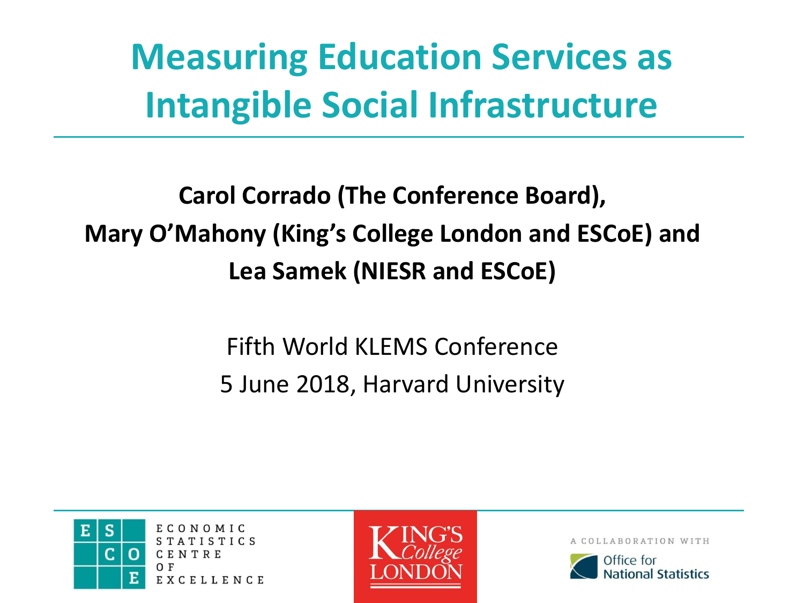# **Measuring Education Services as Intangible Social Infrastructure**

### **Carol Corrado (The Conference Board), Mary O'Mahony (King's College London and ESCoE) and Lea Samek (NIESR and ESCoE)**

### Fifth World KLEMS Conference 5 June 2018, Harvard University



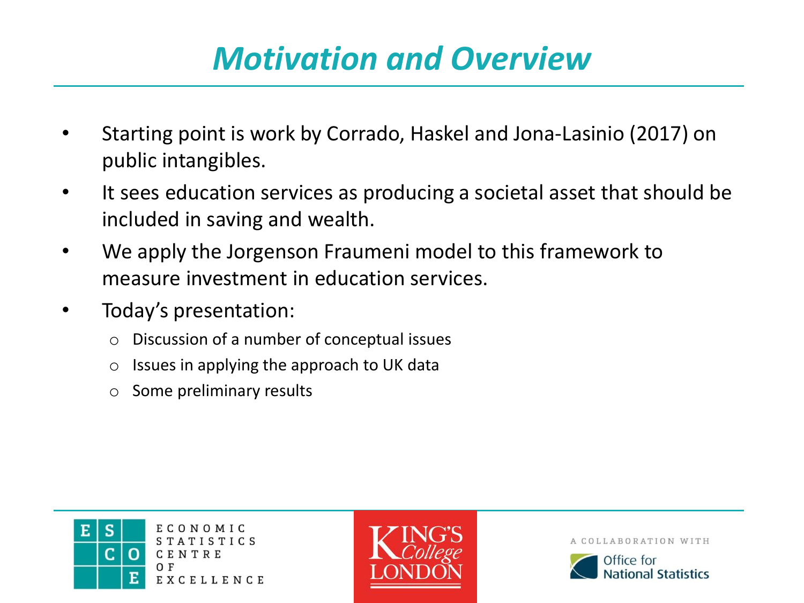## *Motivation and Overview*

- Starting point is work by Corrado, Haskel and Jona-Lasinio (2017) on public intangibles.
- It sees education services as producing a societal asset that should be included in saving and wealth.
- We apply the Jorgenson Fraumeni model to this framework to measure investment in education services.
- Today's presentation:
	- o Discussion of a number of conceptual issues
	- o Issues in applying the approach to UK data
	- o Some preliminary results



ECONOMIC **STATISTICS** CENTRE EXCELLENCE



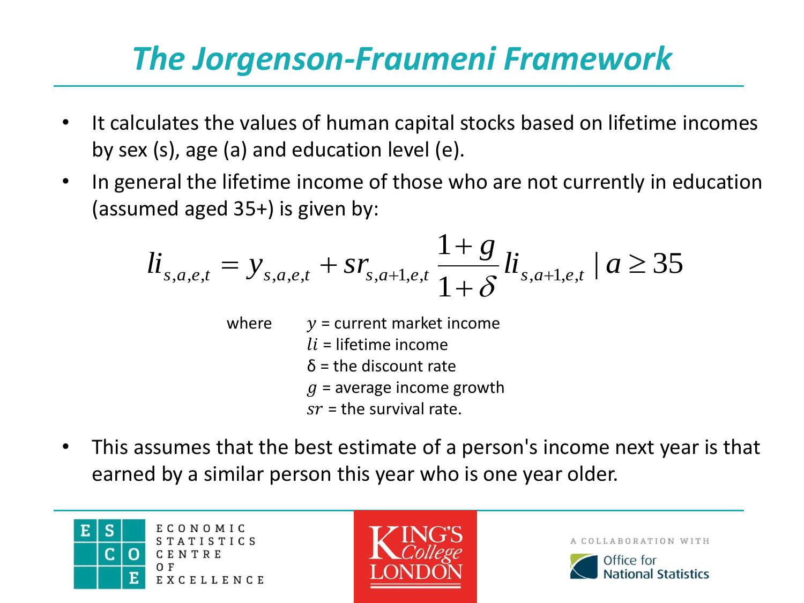# *The Jorgenson-Fraumeni Framework*

- It calculates the values of human capital stocks based on lifetime incomes by sex (s), age (a) and education level (e).
- In general the lifetime income of those who are not currently in education (assumed aged 35+) is given by:

med aged 35+) is given by:  
\n
$$
li_{s,a,e,t} = y_{s,a,e,t} + sr_{s,a+1,e,t} \frac{1+g}{1+g} li_{s,a+1,e,t} | a ≥ 35
$$

- where  $y =$  current market income  $li$  = lifetime income  $\delta$  = the discount rate  $q$  = average income growth  $sr =$  the survival rate.
- This assumes that the best estimate of a person's income next year is that earned by a similar person this year who is one year older.

S ECONOMIC E. STATISTICS CENTRE EXCELLENCE



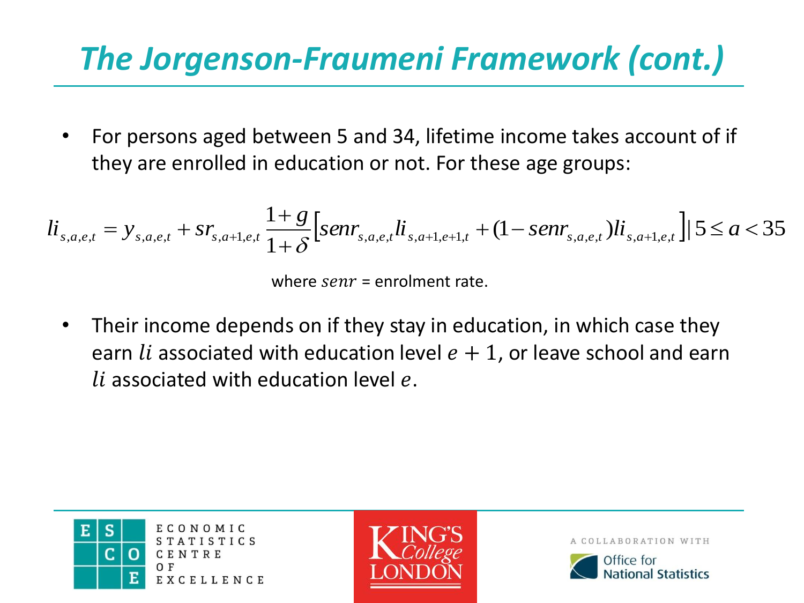# *The Jorgenson-Fraumeni Framework (cont.)*

• For persons aged between 5 and 34, lifetime income takes account of if they are enrolled in education or not. For these age groups:

• For persons aged between 5 and 34, lifetime income takes account of it  
they are enrolled in education or not. For these age groups:  

$$
li_{s,a,e,t} = y_{s,a,e,t} + sr_{s,a+1,e,t} \frac{1+g}{1+\delta} [senr_{s,a,e,t}li_{s,a+1,e+1,t} + (1-senr_{s,a,e,t})li_{s,a+1,e,t}] | 5 \le a < 35
$$

where  $\textit{senr}$  = enrolment rate.

• Their income depends on if they stay in education, in which case they earn *li* associated with education level  $e + 1$ , or leave school and earn *li* associated with education level  $e$ .



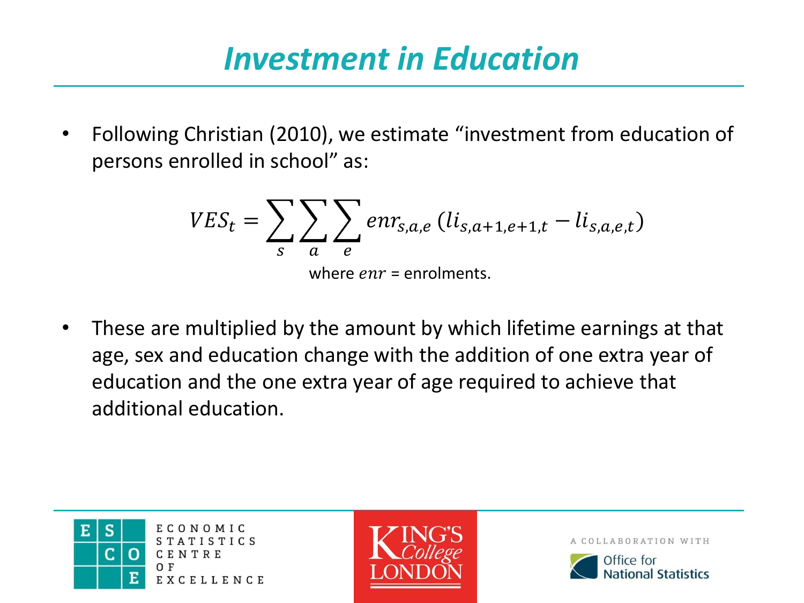### *Investment in Education*

• Following Christian (2010), we estimate "investment from education of persons enrolled in school" as:

$$
VES_t = \sum_{s} \sum_{a} \sum_{e} env_{s,a,e} (li_{s,a+1,e+1,t} - li_{s,a,e,t})
$$
  
where *enr* = enrolments.

• These are multiplied by the amount by which lifetime earnings at that age, sex and education change with the addition of one extra year of education and the one extra year of age required to achieve that additional education.





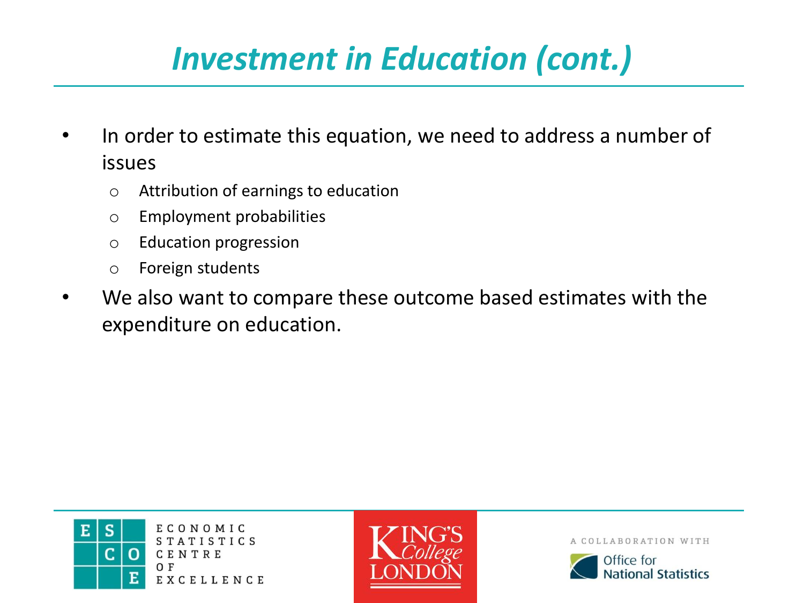# *Investment in Education (cont.)*

- In order to estimate this equation, we need to address a number of issues
	- o Attribution of earnings to education
	- o Employment probabilities
	- o Education progression
	- o Foreign students
- We also want to compare these outcome based estimates with the expenditure on education.



ECONOMIC **STATISTICS** CENTRE EXCELLENCE



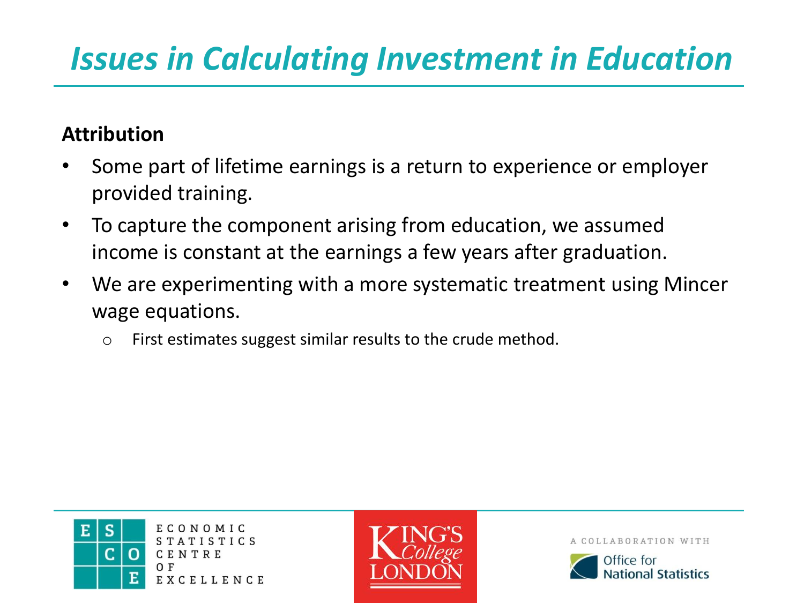## *Issues in Calculating Investment in Education*

#### **Attribution**

- Some part of lifetime earnings is a return to experience or employer provided training.
- To capture the component arising from education, we assumed income is constant at the earnings a few years after graduation.
- We are experimenting with a more systematic treatment using Mincer wage equations.
	- o First estimates suggest similar results to the crude method.





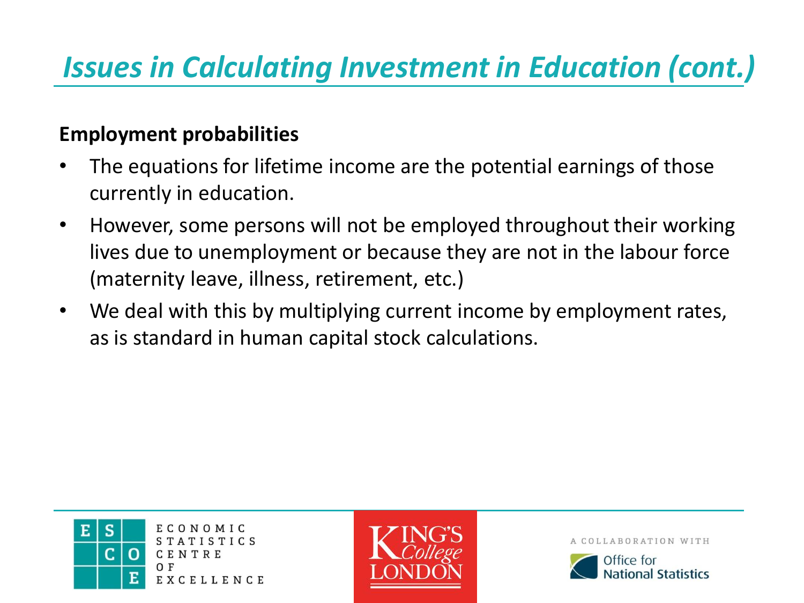## *Issues in Calculating Investment in Education (cont.)*

#### **Employment probabilities**

- The equations for lifetime income are the potential earnings of those currently in education.
- However, some persons will not be employed throughout their working lives due to unemployment or because they are not in the labour force (maternity leave, illness, retirement, etc.)
- We deal with this by multiplying current income by employment rates, as is standard in human capital stock calculations.





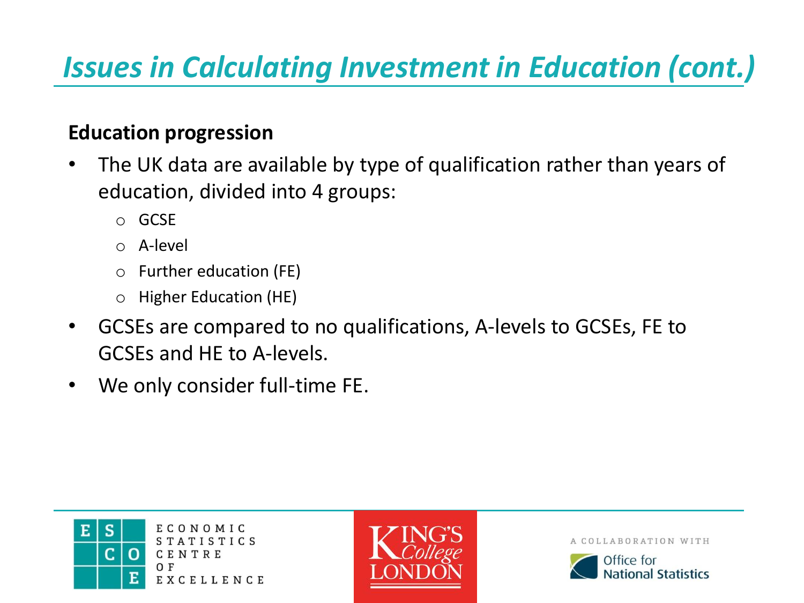## *Issues in Calculating Investment in Education (cont.)*

#### **Education progression**

- The UK data are available by type of qualification rather than years of education, divided into 4 groups:
	- o GCSE
	- o A-level
	- o Further education (FE)
	- o Higher Education (HE)
- GCSEs are compared to no qualifications, A-levels to GCSEs, FE to GCSEs and HE to A-levels.
- We only consider full-time FE.



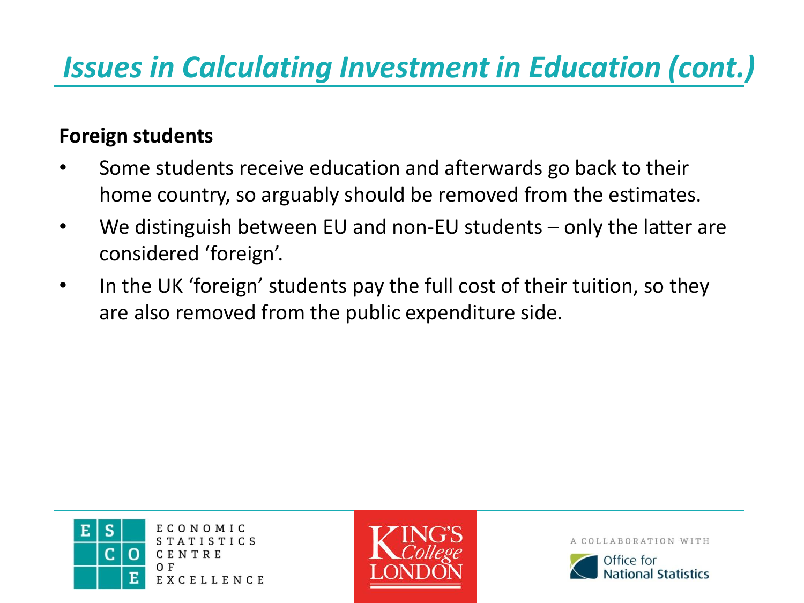### *Issues in Calculating Investment in Education (cont.)*

#### **Foreign students**

- Some students receive education and afterwards go back to their home country, so arguably should be removed from the estimates.
- We distinguish between EU and non-EU students only the latter are considered 'foreign'.
- In the UK 'foreign' students pay the full cost of their tuition, so they are also removed from the public expenditure side.



ECONOMIC TISTICS CENTRE EXCELLENCE



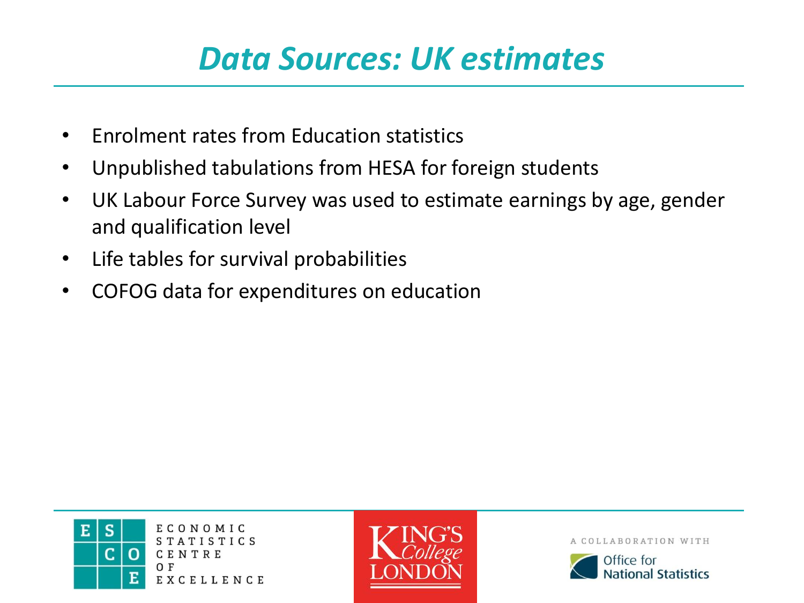### *Data Sources: UK estimates*

- Enrolment rates from Education statistics
- Unpublished tabulations from HESA for foreign students
- UK Labour Force Survey was used to estimate earnings by age, gender and qualification level
- Life tables for survival probabilities
- COFOG data for expenditures on education



ECONOMIC TISTICS CENTRE EXCELLENCE



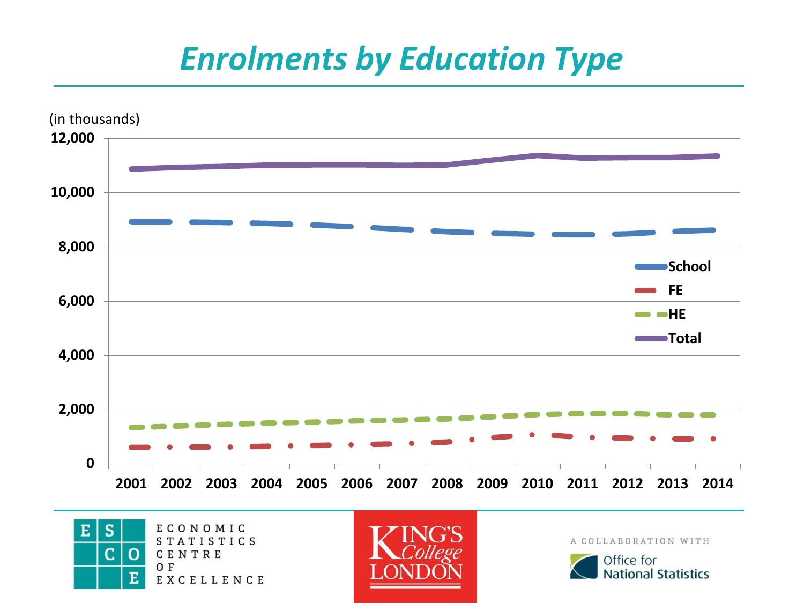### *Enrolments by Education Type*



S ECONOMIC  $E$ STATISTICS Ċ.  $\Omega$ CENTRE O F Е EXCELLENCE



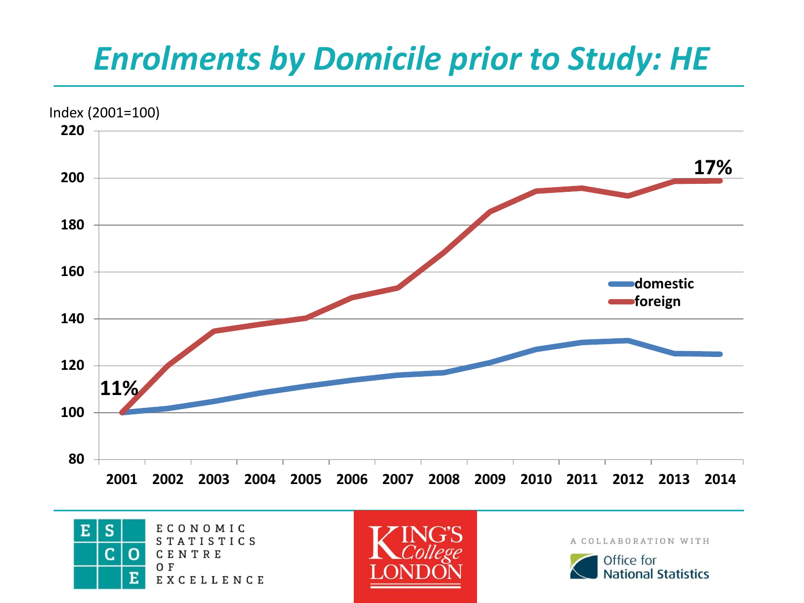## *Enrolments by Domicile prior to Study: HE*







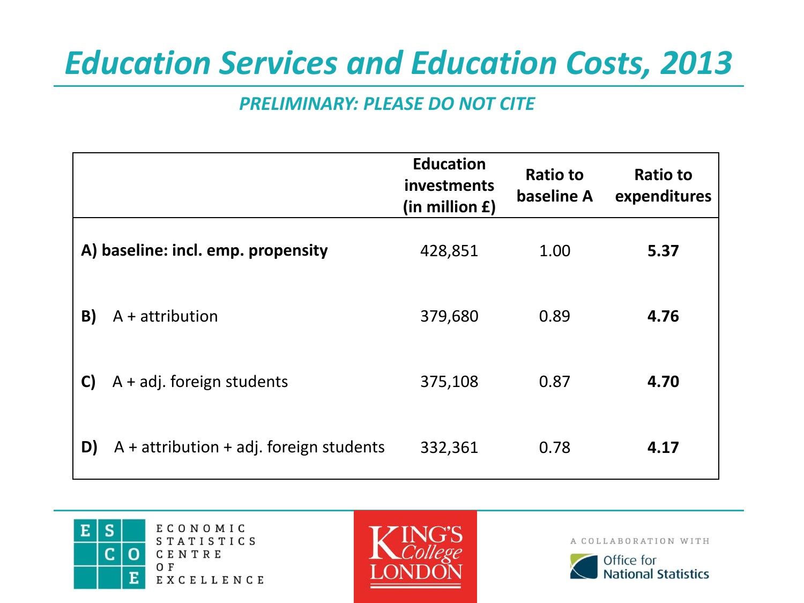## *Education Services and Education Costs, 2013*

#### *PRELIMINARY: PLEASE DO NOT CITE*

|                                    |                                           | <b>Education</b><br>investments<br>(in million £) | <b>Ratio to</b><br>baseline A | <b>Ratio to</b><br>expenditures |
|------------------------------------|-------------------------------------------|---------------------------------------------------|-------------------------------|---------------------------------|
| A) baseline: incl. emp. propensity |                                           | 428,851                                           | 1.00                          | 5.37                            |
| B)                                 | $A +$ attribution                         | 379,680                                           | 0.89                          | 4.76                            |
| C)                                 | $A + adj.$ foreign students               | 375,108                                           | 0.87                          | 4.70                            |
| D)                                 | $A +$ attribution + adj. foreign students | 332,361                                           | 0.78                          | 4.17                            |



ECONOMIC **STATISTICS** CENTRE EXCELLENCE



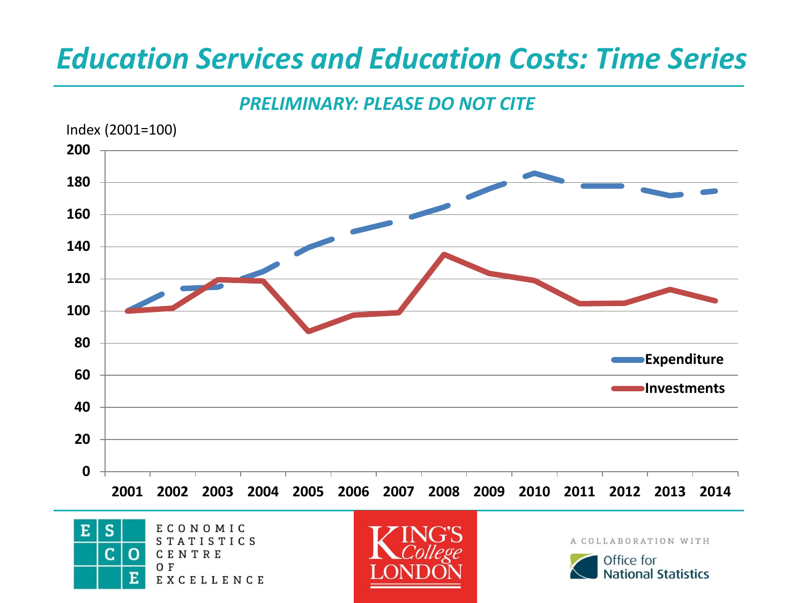### *Education Services and Education Costs: Time Series*

#### *PRELIMINARY: PLEASE DO NOT CITE*



O F

EXCELLENCE

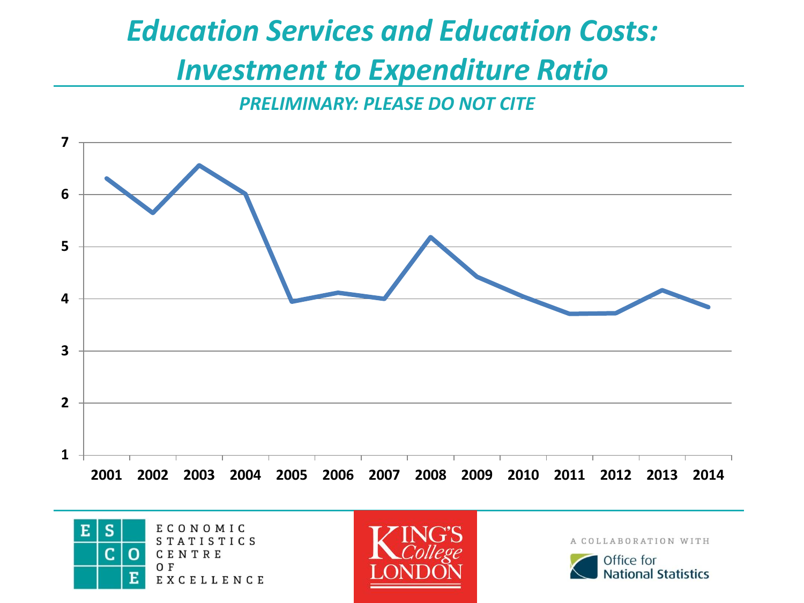# *Education Services and Education Costs:*

### *Investment to Expenditure Ratio*

*PRELIMINARY: PLEASE DO NOT CITE*







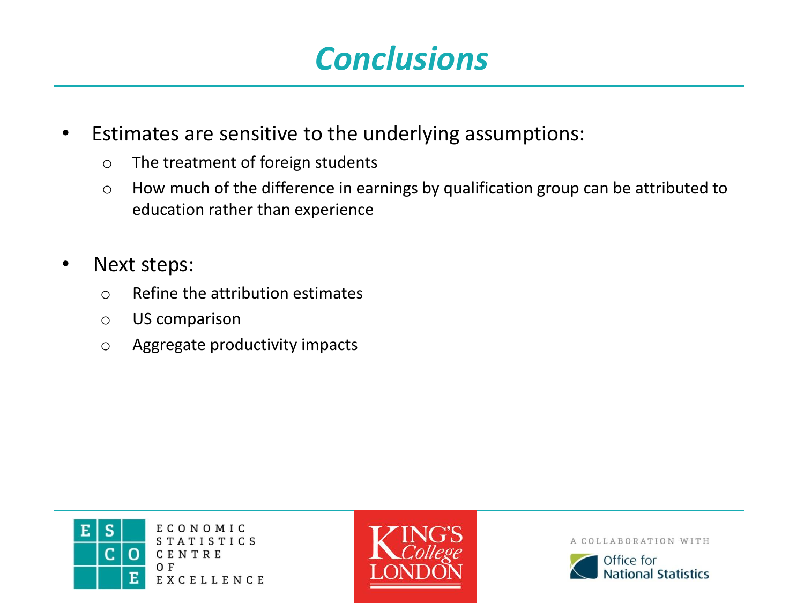### *Conclusions*

- Estimates are sensitive to the underlying assumptions:
	- o The treatment of foreign students
	- o How much of the difference in earnings by qualification group can be attributed to education rather than experience
- Next steps:
	- o Refine the attribution estimates
	- o US comparison
	- o Aggregate productivity impacts



ECONOMIC **STATISTICS** CENTRE EXCELLENCE